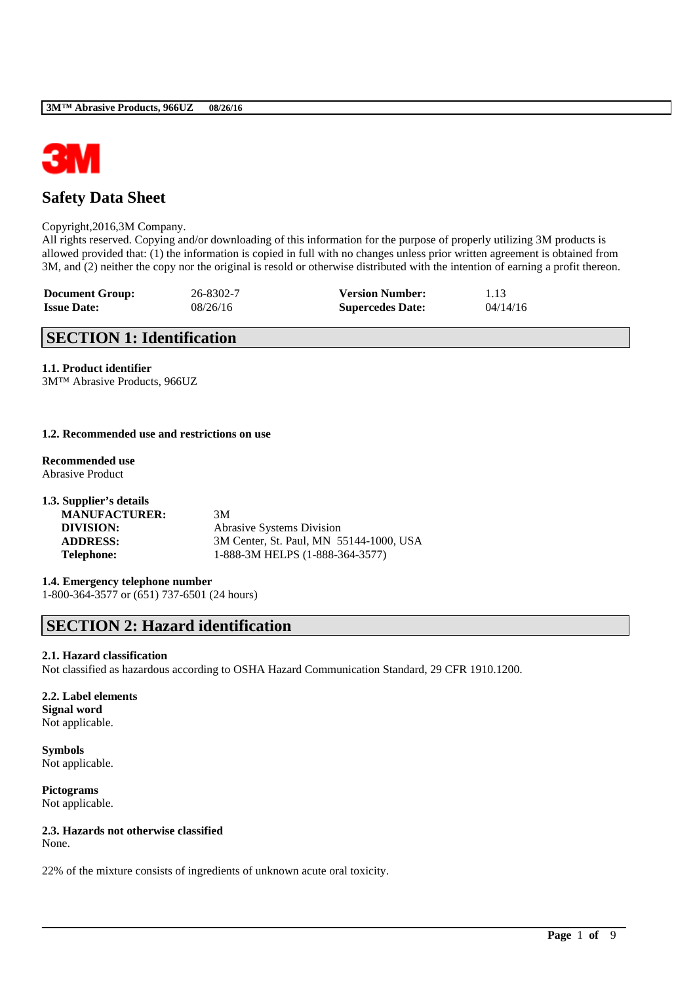

## **Safety Data Sheet**

#### Copyright,2016,3M Company.

All rights reserved. Copying and/or downloading of this information for the purpose of properly utilizing 3M products is allowed provided that: (1) the information is copied in full with no changes unless prior written agreement is obtained from 3M, and (2) neither the copy nor the original is resold or otherwise distributed with the intention of earning a profit thereon.

| <b>Document Group:</b> | 26-8302-7 | <b>Version Number:</b>  | 1.13     |
|------------------------|-----------|-------------------------|----------|
| <b>Issue Date:</b>     | 08/26/16  | <b>Supercedes Date:</b> | 04/14/16 |

## **SECTION 1: Identification**

## **1.1. Product identifier**

3M™ Abrasive Products, 966UZ

#### **1.2. Recommended use and restrictions on use**

**Recommended use** Abrasive Product

| 1.3. Supplier's details |                                         |
|-------------------------|-----------------------------------------|
| <b>MANUFACTURER:</b>    | 3M                                      |
| DIVISION:               | <b>Abrasive Systems Division</b>        |
| <b>ADDRESS:</b>         | 3M Center, St. Paul, MN 55144-1000, USA |
| <b>Telephone:</b>       | 1-888-3M HELPS (1-888-364-3577)         |

# **1.4. Emergency telephone number**

1-800-364-3577 or (651) 737-6501 (24 hours)

# **SECTION 2: Hazard identification**

### **2.1. Hazard classification**

Not classified as hazardous according to OSHA Hazard Communication Standard, 29 CFR 1910.1200.

\_\_\_\_\_\_\_\_\_\_\_\_\_\_\_\_\_\_\_\_\_\_\_\_\_\_\_\_\_\_\_\_\_\_\_\_\_\_\_\_\_\_\_\_\_\_\_\_\_\_\_\_\_\_\_\_\_\_\_\_\_\_\_\_\_\_\_\_\_\_\_\_\_\_\_\_\_\_\_\_\_\_\_\_\_\_\_\_\_\_

#### **2.2. Label elements Signal word** Not applicable.

**Symbols** Not applicable.

**Pictograms** Not applicable.

## **2.3. Hazards not otherwise classified**

None.

22% of the mixture consists of ingredients of unknown acute oral toxicity.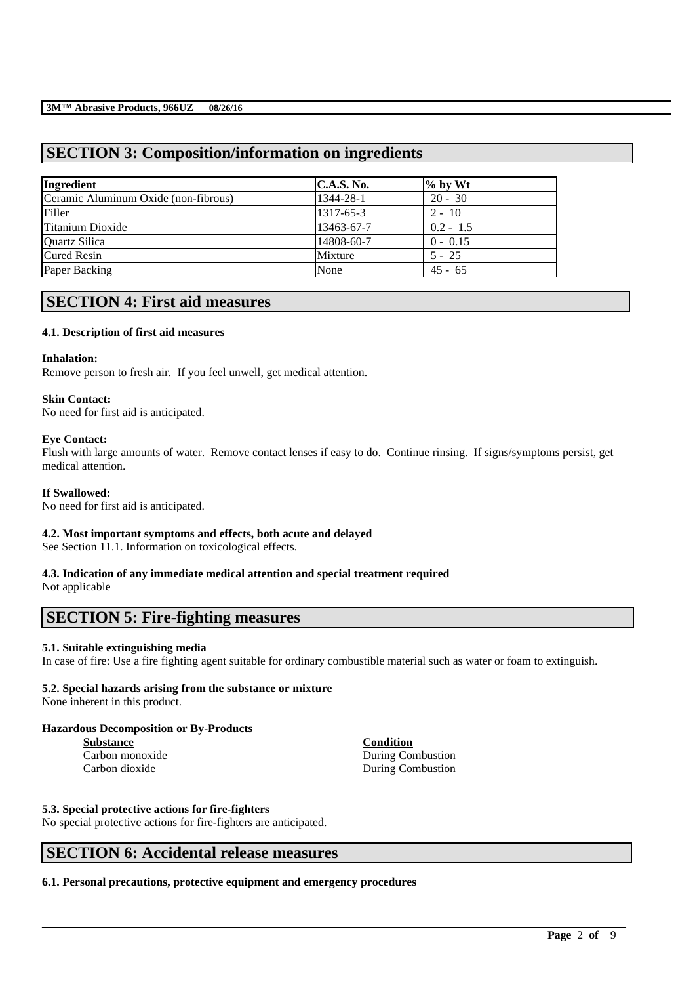## **SECTION 3: Composition/information on ingredients**

| Ingredient                           | <b>C.A.S. No.</b> | $\%$ by Wt  |  |
|--------------------------------------|-------------------|-------------|--|
| Ceramic Aluminum Oxide (non-fibrous) | 1344-28-1         | $20 - 30$   |  |
| Filler                               | 1317-65-3         | $2 - 10$    |  |
| Titanium Dioxide                     | 13463-67-7        | $0.2 - 1.5$ |  |
| Quartz Silica                        | 14808-60-7        | $0 - 0.15$  |  |
| <b>Cured Resin</b>                   | Mixture           | $5 - 25$    |  |
| Paper Backing                        | None              | $45 - 65$   |  |

## **SECTION 4: First aid measures**

### **4.1. Description of first aid measures**

#### **Inhalation:**

Remove person to fresh air. If you feel unwell, get medical attention.

#### **Skin Contact:**

No need for first aid is anticipated.

### **Eye Contact:**

Flush with large amounts of water. Remove contact lenses if easy to do. Continue rinsing. If signs/symptoms persist, get medical attention.

## **If Swallowed:**

No need for first aid is anticipated.

### **4.2. Most important symptoms and effects, both acute and delayed**

See Section 11.1. Information on toxicological effects.

## **4.3. Indication of any immediate medical attention and special treatment required**

Not applicable

## **SECTION 5: Fire-fighting measures**

### **5.1. Suitable extinguishing media**

In case of fire: Use a fire fighting agent suitable for ordinary combustible material such as water or foam to extinguish.

\_\_\_\_\_\_\_\_\_\_\_\_\_\_\_\_\_\_\_\_\_\_\_\_\_\_\_\_\_\_\_\_\_\_\_\_\_\_\_\_\_\_\_\_\_\_\_\_\_\_\_\_\_\_\_\_\_\_\_\_\_\_\_\_\_\_\_\_\_\_\_\_\_\_\_\_\_\_\_\_\_\_\_\_\_\_\_\_\_\_

## **5.2. Special hazards arising from the substance or mixture**

None inherent in this product.

### **Hazardous Decomposition or By-Products**

**Substance Condition**

Carbon monoxide During Combustion Carbon dioxide During Combustion

### **5.3. Special protective actions for fire-fighters**

No special protective actions for fire-fighters are anticipated.

## **SECTION 6: Accidental release measures**

**6.1. Personal precautions, protective equipment and emergency procedures**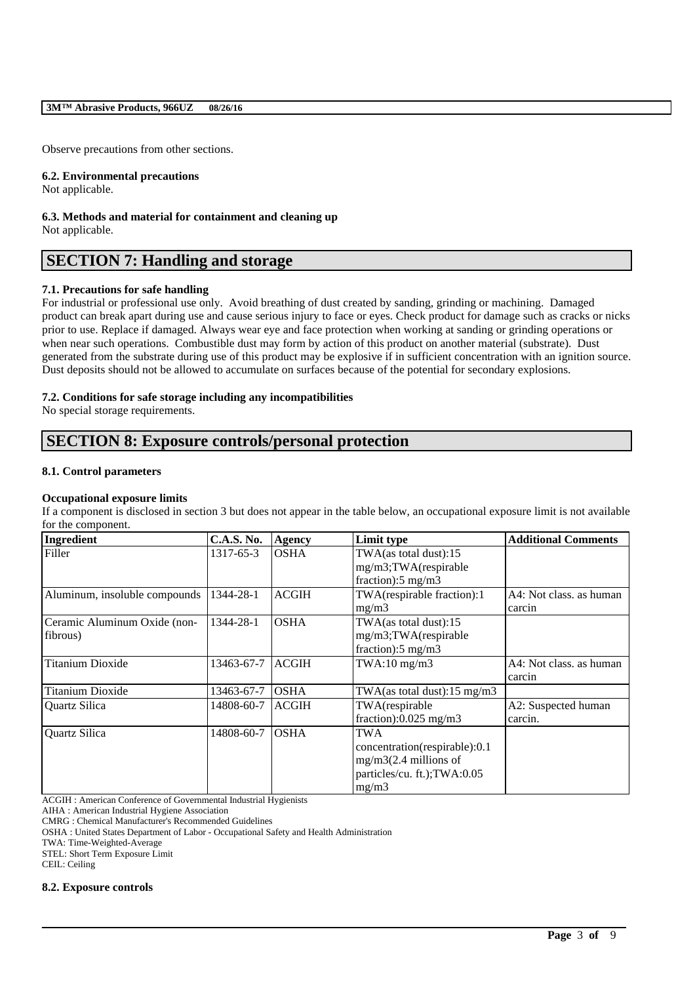#### **3M™ Abrasive Products, 966UZ 08/26/16**

Observe precautions from other sections.

#### **6.2. Environmental precautions**

Not applicable.

#### **6.3. Methods and material for containment and cleaning up** Not applicable.

## **SECTION 7: Handling and storage**

#### **7.1. Precautions for safe handling**

For industrial or professional use only. Avoid breathing of dust created by sanding, grinding or machining. Damaged product can break apart during use and cause serious injury to face or eyes. Check product for damage such as cracks or nicks prior to use. Replace if damaged. Always wear eye and face protection when working at sanding or grinding operations or when near such operations. Combustible dust may form by action of this product on another material (substrate). Dust generated from the substrate during use of this product may be explosive if in sufficient concentration with an ignition source. Dust deposits should not be allowed to accumulate on surfaces because of the potential for secondary explosions.

#### **7.2. Conditions for safe storage including any incompatibilities**

No special storage requirements.

## **SECTION 8: Exposure controls/personal protection**

#### **8.1. Control parameters**

#### **Occupational exposure limits**

If a component is disclosed in section 3 but does not appear in the table below, an occupational exposure limit is not available for the component.

| Ingredient                    | <b>C.A.S. No.</b> | <b>Agency</b> | Limit type                              | <b>Additional Comments</b> |
|-------------------------------|-------------------|---------------|-----------------------------------------|----------------------------|
| Filler                        | 1317-65-3         | <b>OSHA</b>   | TWA(as total dust):15                   |                            |
|                               |                   |               | mg/m3;TWA(respirable                    |                            |
|                               |                   |               | fraction): $5 \text{ mg/m}$ 3           |                            |
| Aluminum, insoluble compounds | 1344-28-1         | <b>ACGIH</b>  | TWA(respirable fraction):1              | A4: Not class, as human    |
|                               |                   |               | mg/m3                                   | carcin                     |
| Ceramic Aluminum Oxide (non-  | 1344-28-1         | <b>OSHA</b>   | TWA(as total dust):15                   |                            |
| fibrous)                      |                   |               | mg/m3;TWA(respirable                    |                            |
|                               |                   |               | fraction): $5 \text{ mg/m}$ 3           |                            |
| <b>Titanium Dioxide</b>       | 13463-67-7        | <b>ACGIH</b>  | $TWA:10$ mg/m $3$                       | A4: Not class, as human    |
|                               |                   |               |                                         | carcin                     |
| Titanium Dioxide              | 13463-67-7        | <b>OSHA</b>   | TWA(as total dust): $15 \text{ mg/m}$ 3 |                            |
| Quartz Silica                 | 14808-60-7        | <b>ACGIH</b>  | TWA(respirable                          | A2: Suspected human        |
|                               |                   |               | fraction): $0.025$ mg/m3                | carcin.                    |
| Quartz Silica                 | 14808-60-7        | <b>OSHA</b>   | TWA                                     |                            |
|                               |                   |               | concentration(respirable):0.1           |                            |
|                               |                   |               | $mg/m3(2.4$ millions of                 |                            |
|                               |                   |               | particles/cu. ft.); TWA:0.05            |                            |
|                               |                   |               | mg/m3                                   |                            |

\_\_\_\_\_\_\_\_\_\_\_\_\_\_\_\_\_\_\_\_\_\_\_\_\_\_\_\_\_\_\_\_\_\_\_\_\_\_\_\_\_\_\_\_\_\_\_\_\_\_\_\_\_\_\_\_\_\_\_\_\_\_\_\_\_\_\_\_\_\_\_\_\_\_\_\_\_\_\_\_\_\_\_\_\_\_\_\_\_\_

ACGIH : American Conference of Governmental Industrial Hygienists

AIHA : American Industrial Hygiene Association

CMRG : Chemical Manufacturer's Recommended Guidelines

OSHA : United States Department of Labor - Occupational Safety and Health Administration

TWA: Time-Weighted-Average

STEL: Short Term Exposure Limit

CEIL: Ceiling

#### **8.2. Exposure controls**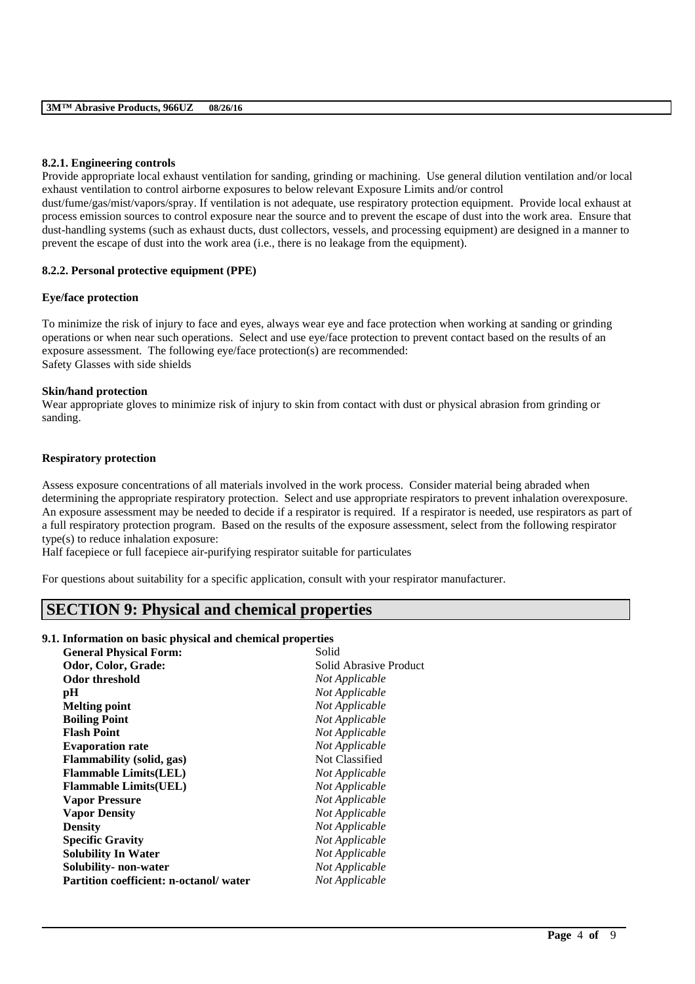#### **8.2.1. Engineering controls**

Provide appropriate local exhaust ventilation for sanding, grinding or machining. Use general dilution ventilation and/or local exhaust ventilation to control airborne exposures to below relevant Exposure Limits and/or control dust/fume/gas/mist/vapors/spray. If ventilation is not adequate, use respiratory protection equipment. Provide local exhaust at

process emission sources to control exposure near the source and to prevent the escape of dust into the work area. Ensure that dust-handling systems (such as exhaust ducts, dust collectors, vessels, and processing equipment) are designed in a manner to prevent the escape of dust into the work area (i.e., there is no leakage from the equipment).

#### **8.2.2. Personal protective equipment (PPE)**

#### **Eye/face protection**

To minimize the risk of injury to face and eyes, always wear eye and face protection when working at sanding or grinding operations or when near such operations. Select and use eye/face protection to prevent contact based on the results of an exposure assessment. The following eye/face protection(s) are recommended: Safety Glasses with side shields

#### **Skin/hand protection**

Wear appropriate gloves to minimize risk of injury to skin from contact with dust or physical abrasion from grinding or sanding.

#### **Respiratory protection**

Assess exposure concentrations of all materials involved in the work process. Consider material being abraded when determining the appropriate respiratory protection. Select and use appropriate respirators to prevent inhalation overexposure. An exposure assessment may be needed to decide if a respirator is required. If a respirator is needed, use respirators as part of a full respiratory protection program. Based on the results of the exposure assessment, select from the following respirator type(s) to reduce inhalation exposure:

\_\_\_\_\_\_\_\_\_\_\_\_\_\_\_\_\_\_\_\_\_\_\_\_\_\_\_\_\_\_\_\_\_\_\_\_\_\_\_\_\_\_\_\_\_\_\_\_\_\_\_\_\_\_\_\_\_\_\_\_\_\_\_\_\_\_\_\_\_\_\_\_\_\_\_\_\_\_\_\_\_\_\_\_\_\_\_\_\_\_

Half facepiece or full facepiece air-purifying respirator suitable for particulates

For questions about suitability for a specific application, consult with your respirator manufacturer.

## **SECTION 9: Physical and chemical properties**

### **9.1. Information on basic physical and chemical properties**

| Odor, Color, Grade:<br>Solid Abrasive Product<br><b>Odor threshold</b><br>Not Applicable<br>Not Applicable<br>pН<br>Not Applicable<br><b>Melting point</b><br>Not Applicable<br><b>Boiling Point</b><br><b>Flash Point</b><br>Not Applicable<br>Not Applicable<br><b>Evaporation rate</b><br>Not Classified<br><b>Flammability</b> (solid, gas)<br><b>Flammable Limits(LEL)</b><br>Not Applicable<br>Not Applicable<br><b>Flammable Limits (UEL)</b><br>Not Applicable<br><b>Vapor Pressure</b> |
|-------------------------------------------------------------------------------------------------------------------------------------------------------------------------------------------------------------------------------------------------------------------------------------------------------------------------------------------------------------------------------------------------------------------------------------------------------------------------------------------------|
|                                                                                                                                                                                                                                                                                                                                                                                                                                                                                                 |
|                                                                                                                                                                                                                                                                                                                                                                                                                                                                                                 |
|                                                                                                                                                                                                                                                                                                                                                                                                                                                                                                 |
|                                                                                                                                                                                                                                                                                                                                                                                                                                                                                                 |
|                                                                                                                                                                                                                                                                                                                                                                                                                                                                                                 |
|                                                                                                                                                                                                                                                                                                                                                                                                                                                                                                 |
|                                                                                                                                                                                                                                                                                                                                                                                                                                                                                                 |
|                                                                                                                                                                                                                                                                                                                                                                                                                                                                                                 |
|                                                                                                                                                                                                                                                                                                                                                                                                                                                                                                 |
|                                                                                                                                                                                                                                                                                                                                                                                                                                                                                                 |
|                                                                                                                                                                                                                                                                                                                                                                                                                                                                                                 |
| Not Applicable<br><b>Vapor Density</b>                                                                                                                                                                                                                                                                                                                                                                                                                                                          |
| Not Applicable<br><b>Density</b>                                                                                                                                                                                                                                                                                                                                                                                                                                                                |
| Not Applicable<br><b>Specific Gravity</b>                                                                                                                                                                                                                                                                                                                                                                                                                                                       |
| <b>Solubility In Water</b><br>Not Applicable                                                                                                                                                                                                                                                                                                                                                                                                                                                    |
| Not Applicable<br>Solubility- non-water                                                                                                                                                                                                                                                                                                                                                                                                                                                         |
| Partition coefficient: n-octanol/water<br>Not Applicable                                                                                                                                                                                                                                                                                                                                                                                                                                        |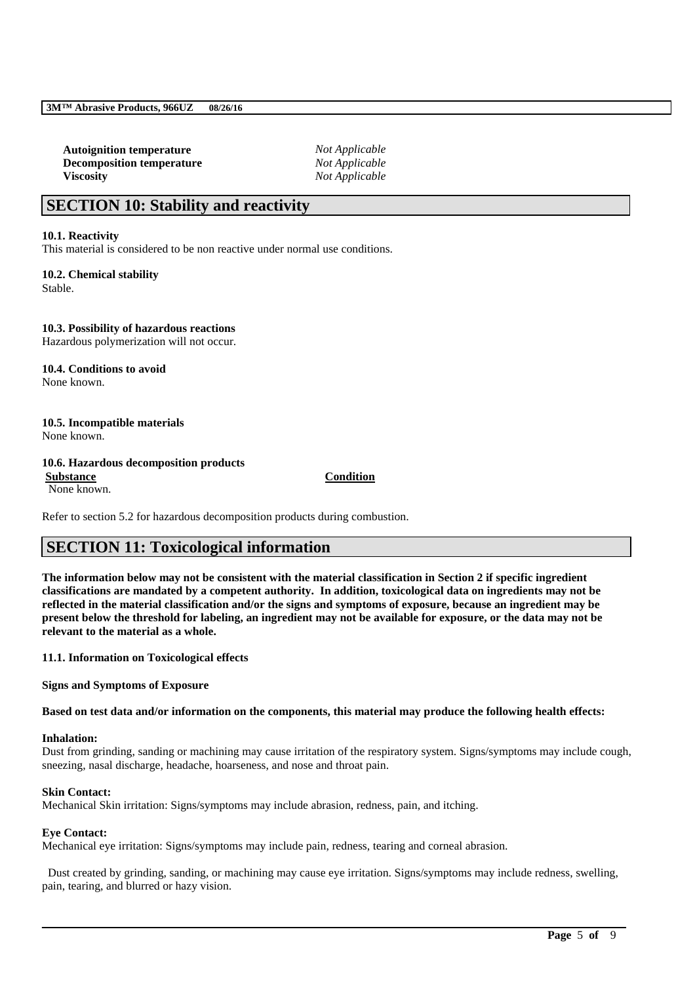**Autoignition temperature** *Not Applicable* **Decomposition temperature** *Not Applicable* **Viscosity** *Not Applicable*

## **SECTION 10: Stability and reactivity**

#### **10.1. Reactivity**

This material is considered to be non reactive under normal use conditions.

**10.2. Chemical stability** Stable.

**10.3. Possibility of hazardous reactions** Hazardous polymerization will not occur.

**10.4. Conditions to avoid** None known.

## **10.5. Incompatible materials**

None known.

#### **10.6. Hazardous decomposition products**

None known.

**Substance Condition**

Refer to section 5.2 for hazardous decomposition products during combustion.

# **SECTION 11: Toxicological information**

**The information below may not be consistent with the material classification in Section 2 if specific ingredient classifications are mandated by a competent authority. In addition, toxicological data on ingredients may not be reflected in the material classification and/or the signs and symptoms of exposure, because an ingredient may be present below the threshold for labeling, an ingredient may not be available for exposure, or the data may not be relevant to the material as a whole.**

**11.1. Information on Toxicological effects**

**Signs and Symptoms of Exposure**

**Based on test data and/or information on the components, this material may produce the following health effects:**

#### **Inhalation:**

Dust from grinding, sanding or machining may cause irritation of the respiratory system. Signs/symptoms may include cough, sneezing, nasal discharge, headache, hoarseness, and nose and throat pain.

#### **Skin Contact:**

Mechanical Skin irritation: Signs/symptoms may include abrasion, redness, pain, and itching.

#### **Eye Contact:**

Mechanical eye irritation: Signs/symptoms may include pain, redness, tearing and corneal abrasion.

Dust created by grinding, sanding, or machining may cause eye irritation. Signs/symptoms may include redness, swelling, pain, tearing, and blurred or hazy vision.

\_\_\_\_\_\_\_\_\_\_\_\_\_\_\_\_\_\_\_\_\_\_\_\_\_\_\_\_\_\_\_\_\_\_\_\_\_\_\_\_\_\_\_\_\_\_\_\_\_\_\_\_\_\_\_\_\_\_\_\_\_\_\_\_\_\_\_\_\_\_\_\_\_\_\_\_\_\_\_\_\_\_\_\_\_\_\_\_\_\_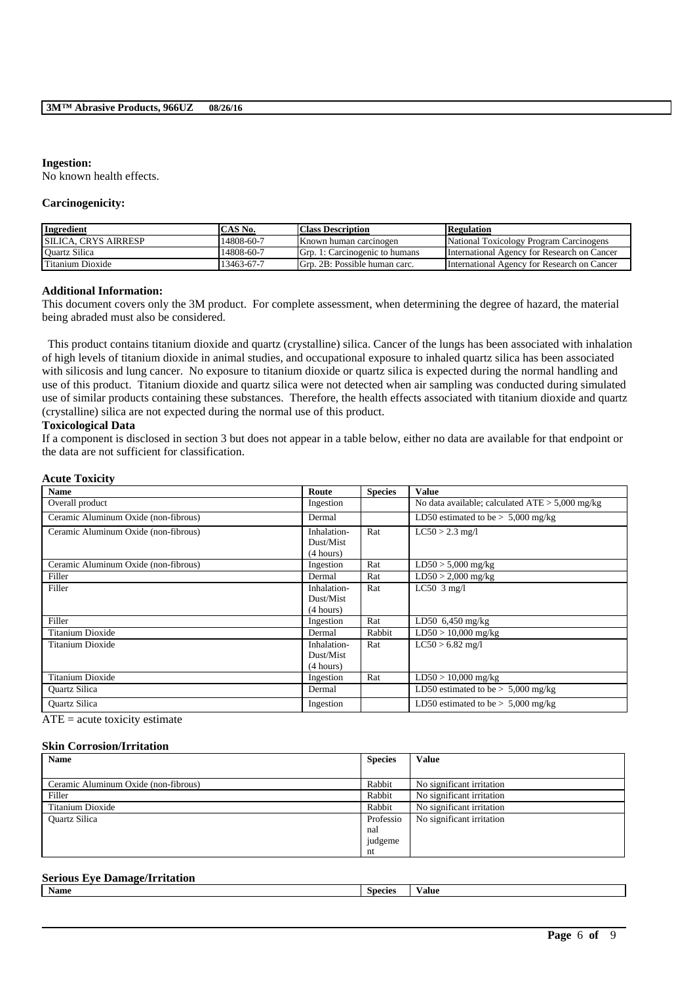#### **Ingestion:**

No known health effects.

#### **Carcinogenicity:**

| <b>Ingredient</b>            | CAS No.    | <b>Class Description</b>       | <b>Regulation</b>                           |
|------------------------------|------------|--------------------------------|---------------------------------------------|
| <b>ISILICA. CRYS AIRRESP</b> | 14808-60-7 | Known human carcinogen         | National Toxicology Program Carcinogens     |
| <b>Ouartz Silica</b>         | 14808-60-7 | Grp. 1: Carcinogenic to humans | International Agency for Research on Cancer |
| Titanium Dioxide             | 13463-67-7 | Grp. 2B: Possible human carc.  | International Agency for Research on Cancer |

#### **Additional Information:**

This document covers only the 3M product. For complete assessment, when determining the degree of hazard, the material being abraded must also be considered.

This product contains titanium dioxide and quartz (crystalline) silica. Cancer of the lungs has been associated with inhalation of high levels of titanium dioxide in animal studies, and occupational exposure to inhaled quartz silica has been associated with silicosis and lung cancer. No exposure to titanium dioxide or quartz silica is expected during the normal handling and use of this product. Titanium dioxide and quartz silica were not detected when air sampling was conducted during simulated use of similar products containing these substances. Therefore, the health effects associated with titanium dioxide and quartz (crystalline) silica are not expected during the normal use of this product.

#### **Toxicological Data**

If a component is disclosed in section 3 but does not appear in a table below, either no data are available for that endpoint or the data are not sufficient for classification.

#### **Acute Toxicity**

| <b>Name</b>                          | Route       | <b>Species</b> | <b>Value</b>                                      |
|--------------------------------------|-------------|----------------|---------------------------------------------------|
| Overall product                      | Ingestion   |                | No data available; calculated $ATE > 5,000$ mg/kg |
| Ceramic Aluminum Oxide (non-fibrous) | Dermal      |                | LD50 estimated to be $> 5,000$ mg/kg              |
| Ceramic Aluminum Oxide (non-fibrous) | Inhalation- | Rat            | $LC50 > 2.3$ mg/l                                 |
|                                      | Dust/Mist   |                |                                                   |
|                                      | (4 hours)   |                |                                                   |
| Ceramic Aluminum Oxide (non-fibrous) | Ingestion   | Rat            | $LD50 > 5,000$ mg/kg                              |
| Filler                               | Dermal      | Rat            | $LD50 > 2,000$ mg/kg                              |
| Filler                               | Inhalation- | Rat            | LC50 $3$ mg/l                                     |
|                                      | Dust/Mist   |                |                                                   |
|                                      | (4 hours)   |                |                                                   |
| Filler                               | Ingestion   | Rat            | $LD50$ 6,450 mg/kg                                |
| Titanium Dioxide                     | Dermal      | Rabbit         | $LD50 > 10,000$ mg/kg                             |
| Titanium Dioxide                     | Inhalation- | Rat            | $LC50 > 6.82$ mg/l                                |
|                                      | Dust/Mist   |                |                                                   |
|                                      | (4 hours)   |                |                                                   |
| Titanium Dioxide                     | Ingestion   | Rat            | $LD50 > 10,000$ mg/kg                             |
| <b>Quartz Silica</b>                 | Dermal      |                | LD50 estimated to be $> 5,000$ mg/kg              |
| <b>Ouartz Silica</b>                 | Ingestion   |                | LD50 estimated to be $> 5,000$ mg/kg              |

 $ATE = acute$  toxicity estimate

#### **Skin Corrosion/Irritation**

| <b>Name</b>                          | <b>Species</b> | <b>Value</b>              |
|--------------------------------------|----------------|---------------------------|
|                                      |                |                           |
| Ceramic Aluminum Oxide (non-fibrous) | Rabbit         | No significant irritation |
| Filler                               | Rabbit         | No significant irritation |
| Titanium Dioxide                     | Rabbit         | No significant irritation |
| <b>Ouartz Silica</b>                 | Professio      | No significant irritation |
|                                      | nal            |                           |
|                                      | judgeme        |                           |
|                                      | nt             |                           |

#### **Serious Eye Damage/Irritation**

| Name<br><b>Species</b><br>'alue |
|---------------------------------|
|---------------------------------|

\_\_\_\_\_\_\_\_\_\_\_\_\_\_\_\_\_\_\_\_\_\_\_\_\_\_\_\_\_\_\_\_\_\_\_\_\_\_\_\_\_\_\_\_\_\_\_\_\_\_\_\_\_\_\_\_\_\_\_\_\_\_\_\_\_\_\_\_\_\_\_\_\_\_\_\_\_\_\_\_\_\_\_\_\_\_\_\_\_\_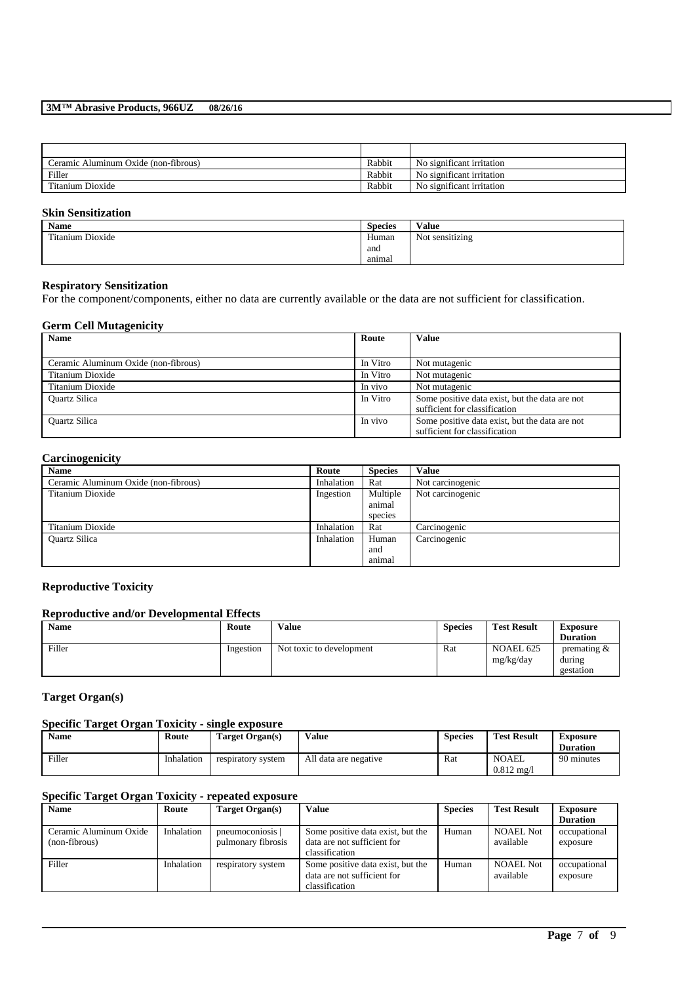#### **3M™ Abrasive Products, 966UZ 08/26/16**

| Ceramic Aluminum Oxide (non-fibrous) | Rabbit | No significant irritation |
|--------------------------------------|--------|---------------------------|
| Filler                               | Rabbit | No significant irritation |
| Titanium Dioxide                     | Rabbit | No significant irritation |

#### **Skin Sensitization**

| <b>Name</b>             | <b>Species</b> | Value           |
|-------------------------|----------------|-----------------|
| <b>Titanium Dioxide</b> | Human          | Not sensitizing |
|                         | and            |                 |
|                         | animal         |                 |

#### **Respiratory Sensitization**

For the component/components, either no data are currently available or the data are not sufficient for classification.

## **Germ Cell Mutagenicity**

| <b>Name</b>                          | Route    | <b>Value</b>                                                                    |
|--------------------------------------|----------|---------------------------------------------------------------------------------|
|                                      |          |                                                                                 |
| Ceramic Aluminum Oxide (non-fibrous) | In Vitro | Not mutagenic                                                                   |
| Titanium Dioxide                     | In Vitro | Not mutagenic                                                                   |
| Titanium Dioxide                     | In vivo  | Not mutagenic                                                                   |
| <b>Ouartz Silica</b>                 | In Vitro | Some positive data exist, but the data are not<br>sufficient for classification |
| <b>Ouartz Silica</b>                 | In vivo  | Some positive data exist, but the data are not<br>sufficient for classification |

## **Carcinogenicity**

| <b>Name</b>                          | Route      | <b>Species</b> | <b>Value</b>     |
|--------------------------------------|------------|----------------|------------------|
| Ceramic Aluminum Oxide (non-fibrous) | Inhalation | Rat            | Not carcinogenic |
| Titanium Dioxide                     | Ingestion  | Multiple       | Not carcinogenic |
|                                      |            | animal         |                  |
|                                      |            | species        |                  |
| Titanium Dioxide                     | Inhalation | Rat            | Carcinogenic     |
| <b>Ouartz Silica</b>                 | Inhalation | Human          | Carcinogenic     |
|                                      |            | and            |                  |
|                                      |            | animal         |                  |

### **Reproductive Toxicity**

#### **Reproductive and/or Developmental Effects**

| <b>Name</b> | Route     | <b>Value</b>             | <b>Species</b> | <b>Test Result</b>     | <b>Exposure</b><br><b>Duration</b>    |
|-------------|-----------|--------------------------|----------------|------------------------|---------------------------------------|
| Filler      | Ingestion | Not toxic to development | Rat            | NOAEL 625<br>mg/kg/day | premating $\&$<br>during<br>gestation |

## **Target Organ(s)**

### **Specific Target Organ Toxicity - single exposure**

| <b>Name</b> | Route      | Target Organ(s)    | Value                 | <b>Species</b> | <b>Test Result</b>                    | Exposure<br><b>Duration</b> |
|-------------|------------|--------------------|-----------------------|----------------|---------------------------------------|-----------------------------|
| Filler      | Inhalation | respiratory system | All data are negative | Rat            | <b>NOAEL</b><br>$0.812 \text{ m}$ g/l | 90 minutes                  |

#### **Specific Target Organ Toxicity - repeated exposure**

| <b>Name</b>                             | Route      | Target Organ(s)                      | Value                                                                              | <b>Species</b> | <b>Test Result</b>            | <b>Exposure</b>          |
|-----------------------------------------|------------|--------------------------------------|------------------------------------------------------------------------------------|----------------|-------------------------------|--------------------------|
|                                         |            |                                      |                                                                                    |                |                               | <b>Duration</b>          |
| Ceramic Aluminum Oxide<br>(non-fibrous) | Inhalation | pneumoconiosis<br>pulmonary fibrosis | Some positive data exist, but the<br>data are not sufficient for<br>classification | Human          | <b>NOAEL Not</b><br>available | occupational<br>exposure |
| Filler                                  | Inhalation | respiratory system                   | Some positive data exist, but the<br>data are not sufficient for<br>classification | Human          | <b>NOAEL Not</b><br>available | occupational<br>exposure |

\_\_\_\_\_\_\_\_\_\_\_\_\_\_\_\_\_\_\_\_\_\_\_\_\_\_\_\_\_\_\_\_\_\_\_\_\_\_\_\_\_\_\_\_\_\_\_\_\_\_\_\_\_\_\_\_\_\_\_\_\_\_\_\_\_\_\_\_\_\_\_\_\_\_\_\_\_\_\_\_\_\_\_\_\_\_\_\_\_\_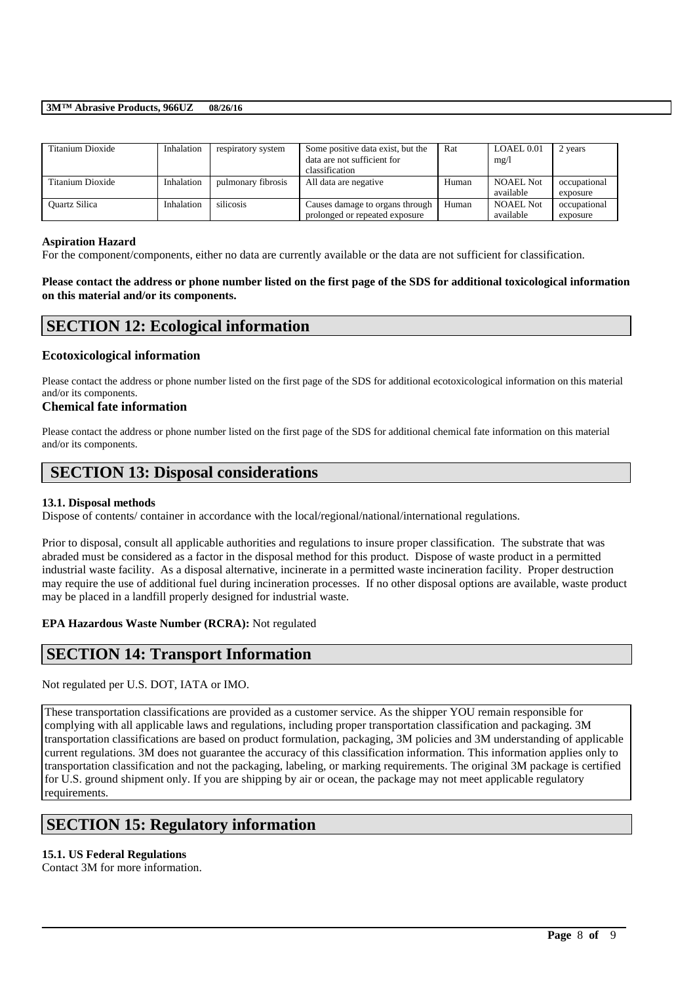### **3M™ Abrasive Products, 966UZ 08/26/16**

| Titanium Dioxide     | Inhalation | respiratory system | Some positive data exist, but the<br>data are not sufficient for<br>classification | Rat   | LOAEL 0.01<br>mg/l            | 2 years                  |
|----------------------|------------|--------------------|------------------------------------------------------------------------------------|-------|-------------------------------|--------------------------|
| Titanium Dioxide     | Inhalation | pulmonary fibrosis | All data are negative                                                              | Human | <b>NOAEL Not</b><br>available | occupational<br>exposure |
| <b>Ouartz Silica</b> | Inhalation | silicosis          | Causes damage to organs through<br>prolonged or repeated exposure                  | Human | <b>NOAEL Not</b><br>available | occupational<br>exposure |

#### **Aspiration Hazard**

For the component/components, either no data are currently available or the data are not sufficient for classification.

## **Please contact the address or phone number listed on the first page of the SDS for additional toxicological information on this material and/or its components.**

## **SECTION 12: Ecological information**

## **Ecotoxicological information**

Please contact the address or phone number listed on the first page of the SDS for additional ecotoxicological information on this material and/or its components.

## **Chemical fate information**

Please contact the address or phone number listed on the first page of the SDS for additional chemical fate information on this material and/or its components.

## **SECTION 13: Disposal considerations**

### **13.1. Disposal methods**

Dispose of contents/ container in accordance with the local/regional/national/international regulations.

Prior to disposal, consult all applicable authorities and regulations to insure proper classification. The substrate that was abraded must be considered as a factor in the disposal method for this product. Dispose of waste product in a permitted industrial waste facility. As a disposal alternative, incinerate in a permitted waste incineration facility. Proper destruction may require the use of additional fuel during incineration processes. If no other disposal options are available, waste product may be placed in a landfill properly designed for industrial waste.

## **EPA Hazardous Waste Number (RCRA):** Not regulated

## **SECTION 14: Transport Information**

Not regulated per U.S. DOT, IATA or IMO.

These transportation classifications are provided as a customer service. As the shipper YOU remain responsible for complying with all applicable laws and regulations, including proper transportation classification and packaging. 3M transportation classifications are based on product formulation, packaging, 3M policies and 3M understanding of applicable current regulations. 3M does not guarantee the accuracy of this classification information. This information applies only to transportation classification and not the packaging, labeling, or marking requirements. The original 3M package is certified for U.S. ground shipment only. If you are shipping by air or ocean, the package may not meet applicable regulatory requirements.

\_\_\_\_\_\_\_\_\_\_\_\_\_\_\_\_\_\_\_\_\_\_\_\_\_\_\_\_\_\_\_\_\_\_\_\_\_\_\_\_\_\_\_\_\_\_\_\_\_\_\_\_\_\_\_\_\_\_\_\_\_\_\_\_\_\_\_\_\_\_\_\_\_\_\_\_\_\_\_\_\_\_\_\_\_\_\_\_\_\_

## **SECTION 15: Regulatory information**

### **15.1. US Federal Regulations**

Contact 3M for more information.